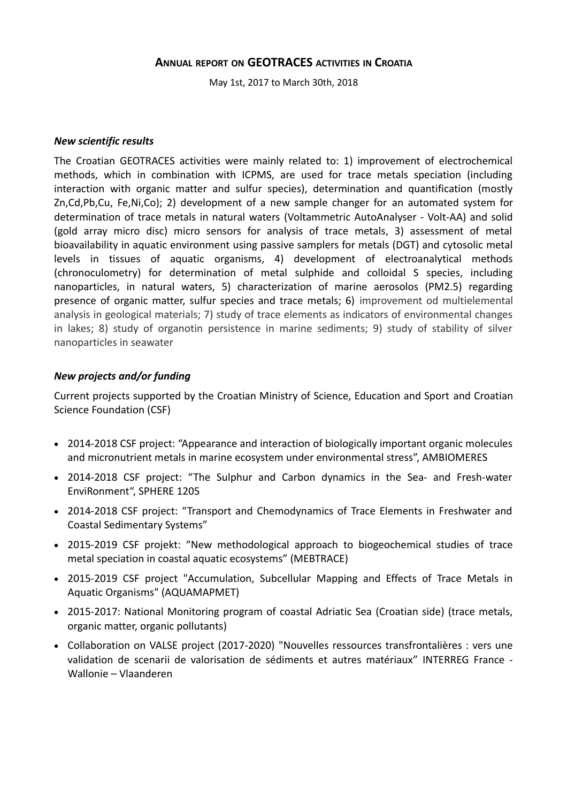## **ANNUAL REPORT ON GEOTRACES ACTIVITIES IN CROATIA**

May 1st, 2017 to March 30th, 2018

#### *New scientific results*

The Croatian GEOTRACES activities were mainly related to: 1) improvement of electrochemical methods, which in combination with ICPMS, are used for trace metals speciation (including interaction with organic matter and sulfur species), determination and quantification (mostly Zn,Cd,Pb,Cu, Fe,Ni,Co); 2) development of a new sample changer for an automated system for determination of trace metals in natural waters (Voltammetric AutoAnalyser - Volt-AA) and solid (gold array micro disc) micro sensors for analysis of trace metals, 3) assessment of metal bioavailability in aquatic environment using passive samplers for metals (DGT) and cytosolic metal levels in tissues of aquatic organisms, 4) development of electroanalytical methods (chronoculometry) for determination of metal sulphide and colloidal S species, including nanoparticles, in natural waters, 5) characterization of marine aerosolos (PM2.5) regarding presence of organic matter, sulfur species and trace metals; 6) improvement od multielemental analysis in geological materials; 7) study of trace elements as indicators of environmental changes in lakes; 8) study of organotin persistence in marine sediments; 9) study of stability of silver nanoparticles in seawater

#### *New projects and/or funding*

Current projects supported by the Croatian Ministry of Science, Education and Sport and Croatian Science Foundation (CSF)

- 2014-2018 CSF project: "Appearance and interaction of biologically important organic molecules and micronutrient metals in marine ecosystem under environmental stress", AMBIOMERES
- 2014-2018 CSF project: "The Sulphur and Carbon dynamics in the Sea- and Fresh-water EnviRonment", SPHERE 1205
- 2014-2018 CSF project: "Transport and Chemodynamics of Trace Elements in Freshwater and Coastal Sedimentary Systems"
- 2015-2019 CSF projekt: "New methodological approach to biogeochemical studies of trace metal speciation in coastal aquatic ecosystems" (MEBTRACE)
- 2015-2019 CSF project "Accumulation, Subcellular Mapping and Effects of Trace Metals in Aquatic Organisms" (AQUAMAPMET)
- 2015-2017: National Monitoring program of coastal Adriatic Sea (Croatian side) (trace metals, organic matter, organic pollutants)
- Collaboration on VALSE project (2017-2020) "Nouvelles ressources transfrontalières : vers une validation de scenarii de valorisation de sédiments et autres matériaux" INTERREG France - Wallonie – Vlaanderen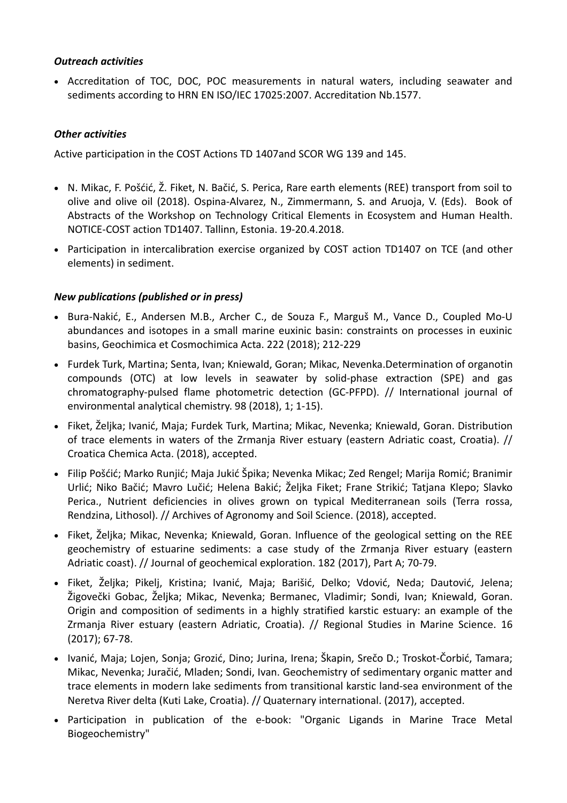# *Outreach activities*

 Accreditation of TOC, DOC, POC measurements in natural waters, including seawater and sediments according to HRN EN ISO/IEC 17025:2007. Accreditation Nb.1577.

# *Other activities*

Active participation in the COST Actions TD 1407and SCOR WG 139 and 145.

- N. Mikac, F. Pošćić, Ž. Fiket, N. Bačić, S. Perica, Rare earth elements (REE) transport from soil to olive and olive oil (2018). Ospina-Alvarez, N., Zimmermann, S. and Aruoja, V. (Eds). Book of Abstracts of the Workshop on Technology Critical Elements in Ecosystem and Human Health. NOTICE-COST action TD1407. Tallinn, Estonia. 19-20.4.2018.
- Participation in intercalibration exercise organized by COST action TD1407 on TCE (and other elements) in sediment.

## *New publications (published or in press)*

- Bura-Nakić, E., Andersen M.B., Archer C., de Souza F., Marguš M., Vance D., Coupled Mo-U abundances and isotopes in a small marine euxinic basin: constraints on processes in euxinic basins, Geochimica et Cosmochimica Acta. 222 (2018); 212-229
- Furdek Turk, Martina; Senta, Ivan; Kniewald, Goran; Mikac, Nevenka.Determination of organotin compounds (OTC) at low levels in seawater by solid-phase extraction (SPE) and gas chromatography-pulsed flame photometric detection (GC-PFPD). // International journal of environmental analytical chemistry. 98 (2018), 1; 1-15).
- Fiket, Željka; Ivanić, Maja; Furdek Turk, Martina; Mikac, Nevenka; Kniewald, Goran. Distribution of trace elements in waters of the Zrmanja River estuary (eastern Adriatic coast, Croatia). // Croatica Chemica Acta. (2018), accepted.
- Filip Pošćić; Marko Runjić; Maja Jukić Špika; Nevenka Mikac; Zed Rengel; Marija Romić; Branimir Urlić; Niko Bačić; Mavro Lučić; Helena Bakić; Željka Fiket; Frane Strikić; Tatjana Klepo; Slavko Perica., Nutrient deficiencies in olives grown on typical Mediterranean soils (Terra rossa, Rendzina, Lithosol). // Archives of Agronomy and Soil Science. (2018), accepted.
- Fiket, Željka; Mikac, Nevenka; Kniewald, Goran. Influence of the geological setting on the REE geochemistry of estuarine sediments: a case study of the Zrmanja River estuary (eastern Adriatic coast). // Journal of geochemical exploration. 182 (2017), Part A; 70-79.
- Fiket, Željka; Pikelj, Kristina; Ivanić, Maja; Barišić, Delko; Vdović, Neda; Dautović, Jelena; Žigovečki Gobac, Željka; Mikac, Nevenka; Bermanec, Vladimir; Sondi, Ivan; Kniewald, Goran. Origin and composition of sediments in a highly stratified karstic estuary: an example of the Zrmanja River estuary (eastern Adriatic, Croatia). // Regional Studies in Marine Science. 16 (2017); 67-78.
- Ivanić, Maja; Lojen, Sonja; Grozić, Dino; Jurina, Irena; Škapin, Srečo D.; Troskot-Čorbić, Tamara; Mikac, Nevenka; Juračić, Mladen; Sondi, Ivan. Geochemistry of sedimentary organic matter and trace elements in modern lake sediments from transitional karstic land-sea environment of the Neretva River delta (Kuti Lake, Croatia). // Quaternary international. (2017), accepted.
- Participation in publication of the e-book: "Organic Ligands in Marine Trace Metal Biogeochemistry"